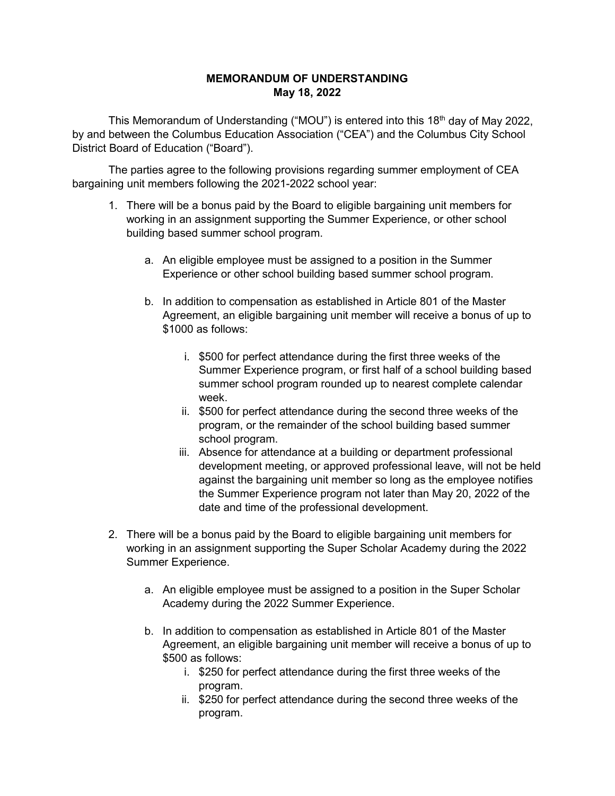## **MEMORANDUM OF UNDERSTANDING May 18, 2022**

This Memorandum of Understanding ("MOU") is entered into this 18<sup>th</sup> day of May 2022, by and between the Columbus Education Association ("CEA") and the Columbus City School District Board of Education ("Board").

The parties agree to the following provisions regarding summer employment of CEA bargaining unit members following the 2021-2022 school year:

- 1. There will be a bonus paid by the Board to eligible bargaining unit members for working in an assignment supporting the Summer Experience, or other school building based summer school program.
	- a. An eligible employee must be assigned to a position in the Summer Experience or other school building based summer school program.
	- b. In addition to compensation as established in Article 801 of the Master Agreement, an eligible bargaining unit member will receive a bonus of up to \$1000 as follows:
		- i. \$500 for perfect attendance during the first three weeks of the Summer Experience program, or first half of a school building based summer school program rounded up to nearest complete calendar week.
		- ii. \$500 for perfect attendance during the second three weeks of the program, or the remainder of the school building based summer school program.
		- iii. Absence for attendance at a building or department professional development meeting, or approved professional leave, will not be held against the bargaining unit member so long as the employee notifies the Summer Experience program not later than May 20, 2022 of the date and time of the professional development.
- 2. There will be a bonus paid by the Board to eligible bargaining unit members for working in an assignment supporting the Super Scholar Academy during the 2022 Summer Experience.
	- a. An eligible employee must be assigned to a position in the Super Scholar Academy during the 2022 Summer Experience.
	- b. In addition to compensation as established in Article 801 of the Master Agreement, an eligible bargaining unit member will receive a bonus of up to \$500 as follows:
		- i. \$250 for perfect attendance during the first three weeks of the program.
		- ii. \$250 for perfect attendance during the second three weeks of the program.